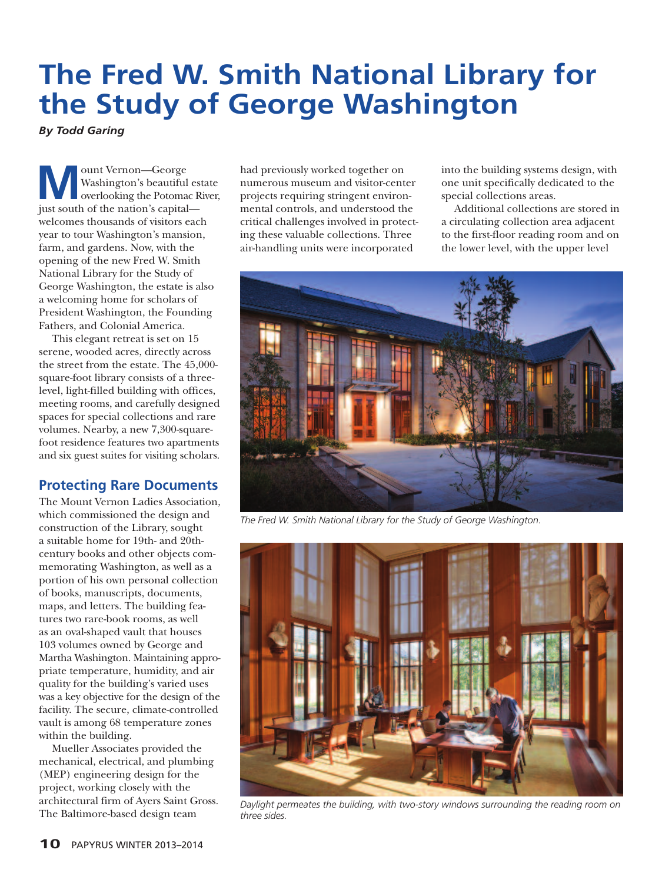## **The Fred W. Smith National Library for the Study of George Washington**

*By Todd Garing*

**M**ount Vernon—George<br>
Washington's beautiful estate<br>
overlooking the Potomac River,<br>
ivet south of the pation's capital Washington's beautiful estate just south of the nation's capital welcomes thousands of visitors each year to tour Washington's mansion, farm, and gardens. Now, with the opening of the new Fred W. Smith National Library for the Study of George Washington, the estate is also a welcoming home for scholars of President Washington, the Founding Fathers, and Colonial America.

This elegant retreat is set on 15 serene, wooded acres, directly across the street from the estate. The 45,000 square-foot library consists of a threelevel, light-filled building with offices, meeting rooms, and carefully designed spaces for special collections and rare volumes. Nearby, a new 7,300-squarefoot residence features two apartments and six guest suites for visiting scholars.

## **Protecting Rare Documents**

The Mount Vernon Ladies Association, which commissioned the design and construction of the Library, sought a suitable home for 19th- and 20thcentury books and other objects commemorating Washington, as well as a portion of his own personal collection of books, manuscripts, documents, maps, and letters. The building features two rare-book rooms, as well as an oval-shaped vault that houses 103 volumes owned by George and Martha Washington. Maintaining appropriate temperature, humidity, and air quality for the building's varied uses was a key objective for the design of the facility. The secure, climate-controlled vault is among 68 temperature zones within the building.

Mueller Associates provided the mechanical, electrical, and plumbing (MEP) engineering design for the project, working closely with the architectural firm of Ayers Saint Gross. The Baltimore-based design team

had previously worked together on numerous museum and visitor-center projects requiring stringent environmental controls, and understood the critical challenges involved in protecting these valuable collections. Three air-handling units were incorporated

into the building systems design, with one unit specifically dedicated to the special collections areas.

Additional collections are stored in a circulating collection area adjacent to the first-floor reading room and on the lower level, with the upper level



*The Fred W. Smith National Library for the Study of George Washington.*



*Daylight permeates the building, with two-story windows surrounding the reading room on three sides.*